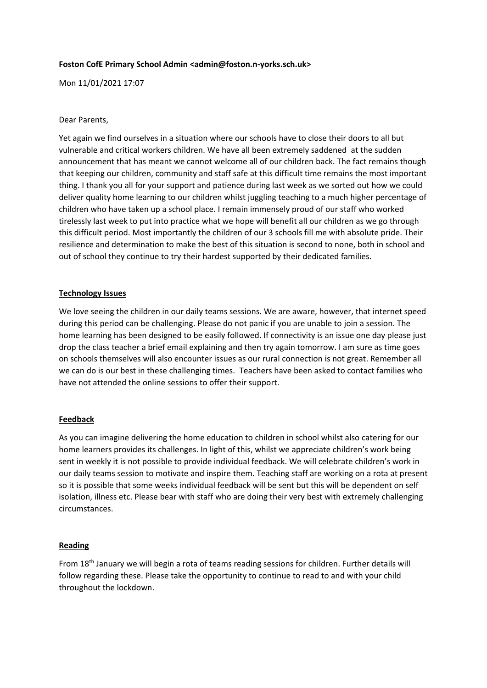# **Foston CofE Primary School Admin <admin@foston.n-yorks.sch.uk>**

Mon 11/01/2021 17:07

## Dear Parents,

Yet again we find ourselves in a situation where our schools have to close their doors to all but vulnerable and critical workers children. We have all been extremely saddened at the sudden announcement that has meant we cannot welcome all of our children back. The fact remains though that keeping our children, community and staff safe at this difficult time remains the most important thing. I thank you all for your support and patience during last week as we sorted out how we could deliver quality home learning to our children whilst juggling teaching to a much higher percentage of children who have taken up a school place. I remain immensely proud of our staff who worked tirelessly last week to put into practice what we hope will benefit all our children as we go through this difficult period. Most importantly the children of our 3 schools fill me with absolute pride. Their resilience and determination to make the best of this situation is second to none, both in school and out of school they continue to try their hardest supported by their dedicated families.

### **Technology Issues**

We love seeing the children in our daily teams sessions. We are aware, however, that internet speed during this period can be challenging. Please do not panic if you are unable to join a session. The home learning has been designed to be easily followed. If connectivity is an issue one day please just drop the class teacher a brief email explaining and then try again tomorrow. I am sure as time goes on schools themselves will also encounter issues as our rural connection is not great. Remember all we can do is our best in these challenging times. Teachers have been asked to contact families who have not attended the online sessions to offer their support.

#### **Feedback**

As you can imagine delivering the home education to children in school whilst also catering for our home learners provides its challenges. In light of this, whilst we appreciate children's work being sent in weekly it is not possible to provide individual feedback. We will celebrate children's work in our daily teams session to motivate and inspire them. Teaching staff are working on a rota at present so it is possible that some weeks individual feedback will be sent but this will be dependent on self isolation, illness etc. Please bear with staff who are doing their very best with extremely challenging circumstances.

#### **Reading**

From 18th January we will begin a rota of teams reading sessions for children. Further details will follow regarding these. Please take the opportunity to continue to read to and with your child throughout the lockdown.